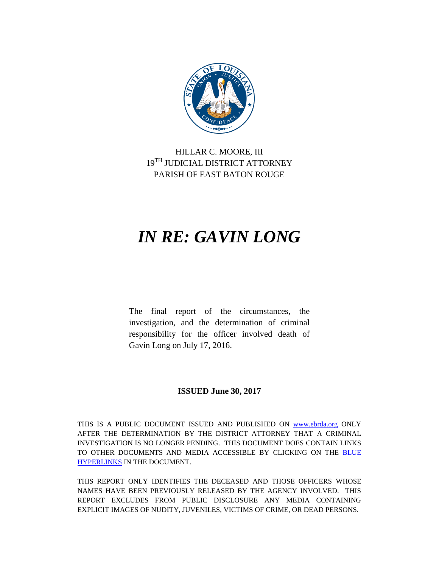

HILLAR C. MOORE, III 19<sup>TH</sup> JUDICIAL DISTRICT ATTORNEY PARISH OF EAST BATON ROUGE

# *IN RE: GAVIN LONG*

The final report of the circumstances, the investigation, and the determination of criminal responsibility for the officer involved death of Gavin Long on July 17, 2016.

## **ISSUED June 30, 2017**

THIS IS A PUBLIC DOCUMENT ISSUED AND PUBLISHED ON [www.ebrda.org](http://www.ebrda.org/) ONLY AFTER THE DETERMINATION BY THE DISTRICT ATTORNEY THAT A CRIMINAL INVESTIGATION IS NO LONGER PENDING. THIS DOCUMENT DOES CONTAIN LINKS TO OTHER DOCUMENTS AND MEDIA ACCESSIBLE BY CLICKING ON THE [BLUE](https://www.youtube.com/channel/UC_-nj4-fRJI5PCv1Hdl9R6g)  [HYPERLINKS](https://www.youtube.com/channel/UC_-nj4-fRJI5PCv1Hdl9R6g) IN THE DOCUMENT.

THIS REPORT ONLY IDENTIFIES THE DECEASED AND THOSE OFFICERS WHOSE NAMES HAVE BEEN PREVIOUSLY RELEASED BY THE AGENCY INVOLVED. THIS REPORT EXCLUDES FROM PUBLIC DISCLOSURE ANY MEDIA CONTAINING EXPLICIT IMAGES OF NUDITY, JUVENILES, VICTIMS OF CRIME, OR DEAD PERSONS.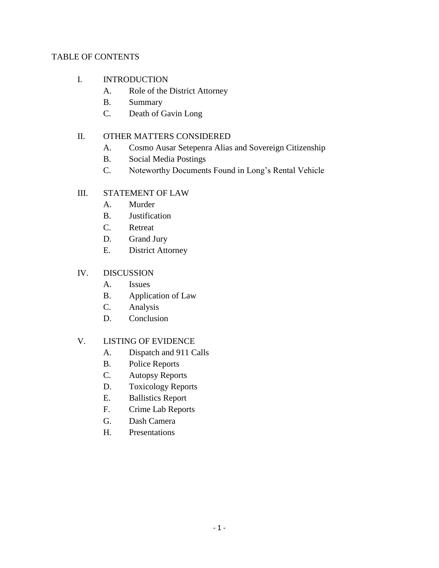## TABLE OF CONTENTS

- I. INTRODUCTION
	- A. Role of the District Attorney
	- B. Summary
	- C. Death of Gavin Long

# II. OTHER MATTERS CONSIDERED

- A. Cosmo Ausar Setepenra Alias and Sovereign Citizenship
- B. Social Media Postings
- C. Noteworthy Documents Found in Long's Rental Vehicle

# III. STATEMENT OF LAW

- A. Murder
- B. Justification
- C. Retreat
- D. Grand Jury
- E. District Attorney

# IV. DISCUSSION

- A. Issues
- B. Application of Law
- C. Analysis
- D. Conclusion

# V. LISTING OF EVIDENCE

- A. Dispatch and 911 Calls
- B. Police Reports
- C. Autopsy Reports
- D. Toxicology Reports
- E. Ballistics Report
- F. Crime Lab Reports
- G. Dash Camera
- H. Presentations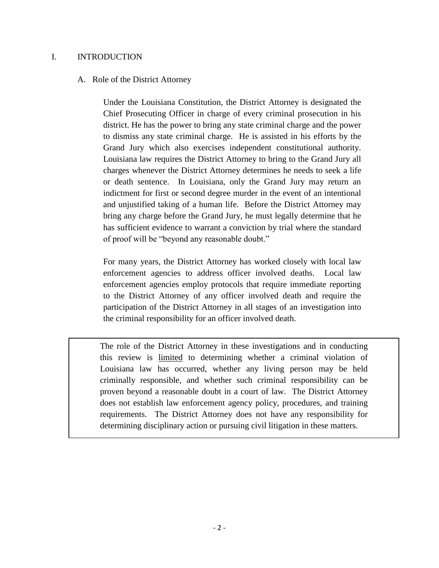#### I. INTRODUCTION

#### A. Role of the District Attorney

Under the Louisiana Constitution, the District Attorney is designated the Chief Prosecuting Officer in charge of every criminal prosecution in his district. He has the power to bring any state criminal charge and the power to dismiss any state criminal charge. He is assisted in his efforts by the Grand Jury which also exercises independent constitutional authority. Louisiana law requires the District Attorney to bring to the Grand Jury all charges whenever the District Attorney determines he needs to seek a life or death sentence. In Louisiana, only the Grand Jury may return an indictment for first or second degree murder in the event of an intentional and unjustified taking of a human life. Before the District Attorney may bring any charge before the Grand Jury, he must legally determine that he has sufficient evidence to warrant a conviction by trial where the standard of proof will be "beyond any reasonable doubt."

For many years, the District Attorney has worked closely with local law enforcement agencies to address officer involved deaths. Local law enforcement agencies employ protocols that require immediate reporting to the District Attorney of any officer involved death and require the participation of the District Attorney in all stages of an investigation into the criminal responsibility for an officer involved death.

The role of the District Attorney in these investigations and in conducting this review is limited to determining whether a criminal violation of Louisiana law has occurred, whether any living person may be held criminally responsible, and whether such criminal responsibility can be proven beyond a reasonable doubt in a court of law. The District Attorney does not establish law enforcement agency policy, procedures, and training requirements. The District Attorney does not have any responsibility for determining disciplinary action or pursuing civil litigation in these matters.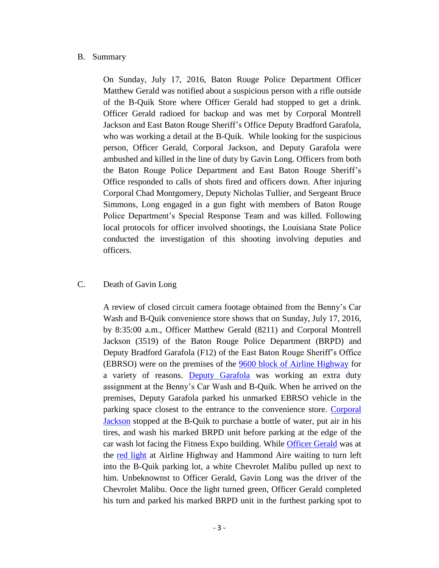#### B. Summary

On Sunday, July 17, 2016, Baton Rouge Police Department Officer Matthew Gerald was notified about a suspicious person with a rifle outside of the B-Quik Store where Officer Gerald had stopped to get a drink. Officer Gerald radioed for backup and was met by Corporal Montrell Jackson and East Baton Rouge Sheriff's Office Deputy Bradford Garafola, who was working a detail at the B-Quik. While looking for the suspicious person, Officer Gerald, Corporal Jackson, and Deputy Garafola were ambushed and killed in the line of duty by Gavin Long. Officers from both the Baton Rouge Police Department and East Baton Rouge Sheriff's Office responded to calls of shots fired and officers down. After injuring Corporal Chad Montgomery, Deputy Nicholas Tullier, and Sergeant Bruce Simmons, Long engaged in a gun fight with members of Baton Rouge Police Department's Special Response Team and was killed. Following local protocols for officer involved shootings, the Louisiana State Police conducted the investigation of this shooting involving deputies and officers.

#### C. Death of Gavin Long

A review of closed circuit camera footage obtained from the Benny's Car Wash and B-Quik convenience store shows that on Sunday, July 17, 2016, by 8:35:00 a.m., Officer Matthew Gerald (8211) and Corporal Montrell Jackson (3519) of the Baton Rouge Police Department (BRPD) and Deputy Bradford Garafola (F12) of the East Baton Rouge Sheriff's Office (EBRSO) were on the premises of the [9600 block of Airline Highway](http://www.ebrda.org/ois/Photographs/Map.jpg) for a variety of reasons. [Deputy Garafola](http://www.ebrda.org/ois/Photographs/Screenshot%202017-04-25%2017.38.06.png) was working an extra duty assignment at the Benny's Car Wash and B-Quik. When he arrived on the premises, Deputy Garafola parked his unmarked EBRSO vehicle in the parking space closest to the entrance to the convenience store. Corporal [Jackson](http://www.ebrda.org/ois/Photographs/Screenshot%202017-04-25%2017.28.03.png) stopped at the B-Quik to purchase a bottle of water, put air in his tires, and wash his marked BRPD unit before parking at the edge of the car wash lot facing the Fitness Expo building. While [Officer Gerald](http://www.ebrda.org/ois/Photographs/Matt%20083528.png) was at the [red light](http://www.ebrda.org/ois/Photographs/Long%20next%20to%20Gerald%20at%20light.jpg) at Airline Highway and Hammond Aire waiting to turn left into the B-Quik parking lot, a white Chevrolet Malibu pulled up next to him. Unbeknownst to Officer Gerald, Gavin Long was the driver of the Chevrolet Malibu. Once the light turned green, Officer Gerald completed his turn and parked his marked BRPD unit in the furthest parking spot to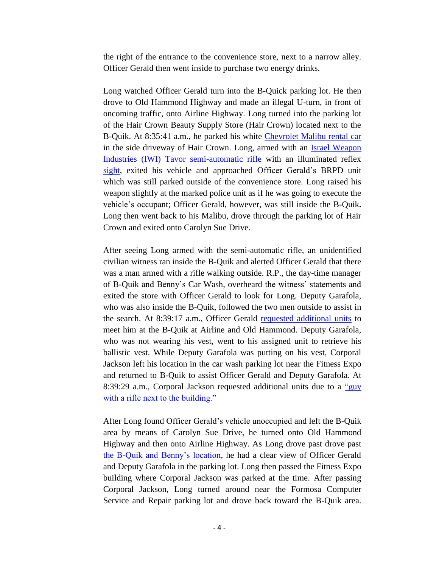the right of the entrance to the convenience store, next to a narrow alley. Officer Gerald then went inside to purchase two energy drinks.

Long watched Officer Gerald turn into the B-Quick parking lot. He then drove to Old Hammond Highway and made an illegal U-turn, in front of oncoming traffic, onto Airline Highway. Long turned into the parking lot of the Hair Crown Beauty Supply Store (Hair Crown) located next to the B-Quik. At 8:35:41 a.m., he parked his white [Chevrolet Malibu rental car](http://www.ebrda.org/ois/Photographs/72325KEA16%2017JULY16%20(59).jpg) in the side driveway of Hair Crown. Long, armed with an [Israel Weapon](http://www.ebrda.org/ois/Photographs/SP-9227-16%20MG%20SCENE%20(37)%20-%20Copy.JPG)  Industries (IWI) [Tavor semi-automatic rifle](http://www.ebrda.org/ois/Photographs/SP-9227-16%20MG%20SCENE%20(37)%20-%20Copy.JPG) with an illuminated reflex [sight,](http://www.ebrda.org/ois/Photographs/SP-9227-16%20EX%203MG%20(10)%20RIFLE-SCOPE.JPG) exited his vehicle and approached Officer Gerald's BRPD unit which was still parked outside of the convenience store. Long raised his weapon slightly at the marked police unit as if he was going to execute the vehicle's occupant; Officer Gerald, however, was still inside the B-Quik**.**  Long then went back to his Malibu, drove through the parking lot of Hair Crown and exited onto Carolyn Sue Drive.

After seeing Long armed with the semi-automatic rifle, an unidentified civilian witness ran inside the B-Quik and alerted Officer Gerald that there was a man armed with a rifle walking outside. R.P., the day-time manager of B-Quik and Benny's Car Wash, overheard the witness' statements and exited the store with Officer Gerald to look for Long. Deputy Garafola, who was also inside the B-Quik, followed the two men outside to assist in the search. At 8:39:17 a.m., Officer Gerald requested [additional units](http://www.ebrda.org/ois/Photographs/72325KEA16%2017JULY16%20(59).jpg) to meet him at the B-Quik at Airline and Old Hammond. Deputy Garafola, who was not wearing his vest, went to his assigned unit to retrieve his ballistic vest. While Deputy Garafola was putting on his vest, Corporal Jackson left his location in the car wash parking lot near the Fitness Expo and returned to B-Quik to assist Officer Gerald and Deputy Garafola. At 8:39:29 a.m., Corporal Jackson requested additional units due to a ["guy](http://www.ebrda.org/ois/Dispatch%20Calls%20and%20Screens/083929_3519.mp3)  [with a rifle next to the building."](http://www.ebrda.org/ois/Dispatch%20Calls%20and%20Screens/083929_3519.mp3)

After Long found Officer Gerald's vehicle unoccupied and left the B-Quik area by means of Carolyn Sue Drive, he turned onto Old Hammond Highway and then onto Airline Highway. As Long drove past drove past [the B-Quik and Benny's location,](http://www.ebrda.org/ois/Photographs/Map.jpg) he had a clear view of Officer Gerald and Deputy Garafola in the parking lot. Long then passed the Fitness Expo building where Corporal Jackson was parked at the time. After passing Corporal Jackson, Long turned around near the Formosa Computer Service and Repair parking lot and drove back toward the B-Quik area.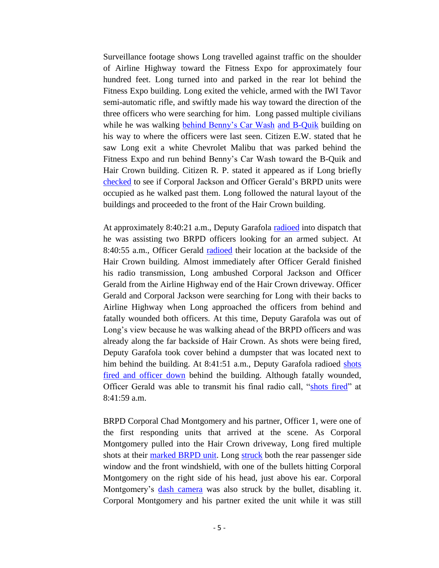Surveillance footage shows Long travelled against traffic on the shoulder of Airline Highway toward the Fitness Expo for approximately four hundred feet. Long turned into and parked in the rear lot behind the Fitness Expo building. Long exited the vehicle, armed with the IWI Tavor semi-automatic rifle, and swiftly made his way toward the direction of the three officers who were searching for him. Long passed multiple civilians while he was walking [behind Benny's Car Wash](http://www.ebrda.org/ois/Photographs/Screenshot%202017-04-25%2016.21.00.png) and [B-Quik](http://www.ebrda.org/ois/Photographs/Long%20behind%20the%20Bquik.jpg) building on his way to where the officers were last seen. Citizen E.W. stated that he saw Long exit a white Chevrolet Malibu that was parked behind the Fitness Expo and run behind Benny's Car Wash toward the B-Quik and Hair Crown building. Citizen R. P. stated it appeared as if Long briefly [checked](http://www.ebrda.org/ois/Photographs/Long%20checking%20units.jpg) to see if Corporal Jackson and Officer Gerald's BRPD units were occupied as he walked past them. Long followed the natural layout of the buildings and proceeded to the front of the Hair Crown building.

At approximately 8:40:21 a.m., Deputy Garafola **radioed** into dispatch that he was assisting two BRPD officers looking for an armed subject. At 8:40:55 a.m., Officer Gerald [radioed](http://www.ebrda.org/ois/Dispatch%20Calls%20and%20Screens/084055_8211.mp3) their location at the backside of the Hair Crown building. Almost immediately after Officer Gerald finished his radio transmission, Long ambushed Corporal Jackson and Officer Gerald from the Airline Highway end of the Hair Crown driveway. Officer Gerald and Corporal Jackson were searching for Long with their backs to Airline Highway when Long approached the officers from behind and fatally wounded both officers. At this time, Deputy Garafola was out of Long's view because he was walking ahead of the BRPD officers and was already along the far backside of Hair Crown. As shots were being fired, Deputy Garafola took cover behind a dumpster that was located next to him behind the building. At 8:41:51 a.m., Deputy Garafola radioed [shots](http://www.ebrda.org/ois/Dispatch%20Calls%20and%20Screens/084151%20F12.mp3)  [fired and officer](http://www.ebrda.org/ois/Dispatch%20Calls%20and%20Screens/084151%20F12.mp3) down behind the building. Although fatally wounded, Officer Gerald was able to transmit his final radio call, ["shots fired"](http://www.ebrda.org/ois/Dispatch%20Calls%20and%20Screens/084159_8211.mp3) at 8:41:59 a.m.

BRPD Corporal Chad Montgomery and his partner, Officer 1, were one of the first responding units that arrived at the scene. As Corporal Montgomery pulled into the Hair Crown driveway, Long fired multiple shots at their [marked BRPD unit.](http://www.ebrda.org/ois/Photographs/SP-9227-16%20MLC%20(391).JPG) Long [struck](http://www.ebrda.org/ois/Photographs/SP-9227-16%20MLC%20BRPD%20Unit%201343%20(76).JPG) both the rear passenger side window and the front windshield, with one of the bullets hitting Corporal Montgomery on the right side of his head, just above his ear. Corporal Montgomery's [dash camera](http://www.ebrda.org/ois/Photographs/Dash%20Cam%20Screenshot.jpg) was also struck by the bullet, disabling it. Corporal Montgomery and his partner exited the unit while it was still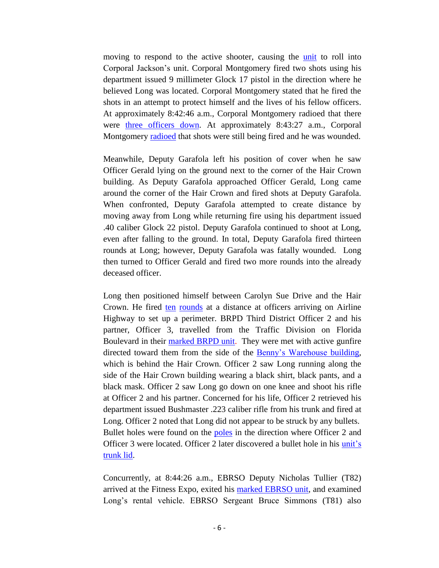moving to respond to the active shooter, causing the [unit](http://www.ebrda.org/ois/Photographs/SP-9227-16%20MLC%20(267).JPG) to roll into Corporal Jackson's unit. Corporal Montgomery fired two shots using his department issued 9 millimeter Glock 17 pistol in the direction where he believed Long was located. Corporal Montgomery stated that he fired the shots in an attempt to protect himself and the lives of his fellow officers. At approximately 8:42:46 a.m., Corporal Montgomery radioed that there were three [officers down.](http://www.ebrda.org/ois/Dispatch%20Calls%20and%20Screens/084246_3514.mp3) At approximately 8:43:27 a.m., Corporal Montgomery [radioed](http://www.ebrda.org/ois/Dispatch%20Calls%20and%20Screens/084327_3514.mp3) that shots were still being fired and he was wounded.

Meanwhile, Deputy Garafola left his position of cover when he saw Officer Gerald lying on the ground next to the corner of the Hair Crown building. As Deputy Garafola approached Officer Gerald, Long came around the corner of the Hair Crown and fired shots at Deputy Garafola. When confronted, Deputy Garafola attempted to create distance by moving away from Long while returning fire using his department issued .40 caliber Glock 22 pistol. Deputy Garafola continued to shoot at Long, even after falling to the ground. In total, Deputy Garafola fired thirteen rounds at Long; however, Deputy Garafola was fatally wounded. Long then turned to Officer Gerald and fired two more rounds into the already deceased officer.

Long then positioned himself between Carolyn Sue Drive and the Hair Crown. He fired [ten](http://www.ebrda.org/ois/Photographs/SP-9227-16%20MPB%20(224)%20-%20Copy.JPG) [rounds](http://www.ebrda.org/ois/Photographs/SP-9227-16%20MPB%20(214)%20-%20Copy.JPG) at a distance at officers arriving on Airline Highway to set up a perimeter. BRPD Third District Officer 2 and his partner, Officer 3, travelled from the Traffic Division on Florida Boulevard in their [marked BRPD unit.](http://www.ebrda.org/ois/Photographs/SP-9227-16%20MPB%20(69).JPG) They were met with active gunfire directed toward them from the side of the [Benny's Warehouse building,](http://www.ebrda.org/ois/Photographs/SP-9227-16%20MPB%20(211)%20-%20Copy.JPG) which is behind the Hair Crown. Officer 2 saw Long running along the side of the Hair Crown building wearing a black shirt, black pants, and a black mask. Officer 2 saw Long go down on one knee and shoot his rifle at Officer 2 and his partner. Concerned for his life, Officer 2 retrieved his department issued Bushmaster .223 caliber rifle from his trunk and fired at Long. Officer 2 noted that Long did not appear to be struck by any bullets. Bullet holes were found on the <u>poles</u> in the direction where Officer 2 and Officer 3 were located. Officer 2 later discovered a bullet hole in his unit's [trunk lid.](http://www.ebrda.org/ois/Photographs/SP-9227-16%20MPB%20(71).JPG)

Concurrently, at 8:44:26 a.m., EBRSO Deputy Nicholas Tullier (T82) arrived at the Fitness Expo, exited his [marked EBRSO unit,](http://www.ebrda.org/ois/Photographs/72325KEA16%2017JULY16%20(78)%20-%20Copy.jpg) and examined Long's rental vehicle. EBRSO Sergeant Bruce Simmons (T81) also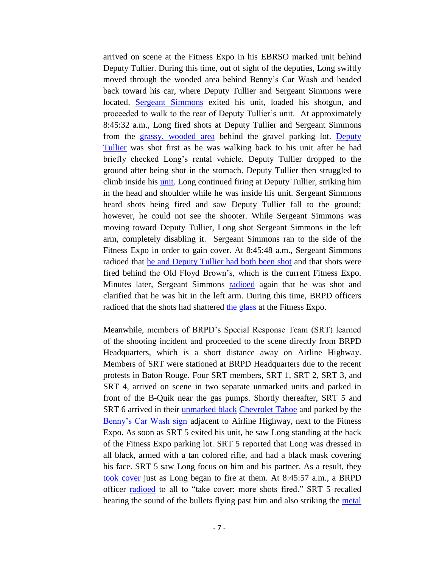arrived on scene at the Fitness Expo in his EBRSO marked unit behind Deputy Tullier. During this time, out of sight of the deputies, Long swiftly moved through the wooded area behind Benny's Car Wash and headed back toward his car, where Deputy Tullier and Sergeant Simmons were located. Sergeant [Simmons](http://www.ebrda.org/ois/Photographs/Screenshot%202017-04-25%2016.23.53.png) exited his unit, loaded his shotgun, and proceeded to walk to the rear of Deputy Tullier's unit. At approximately 8:45:32 a.m., Long fired shots at Deputy Tullier and Sergeant Simmons from the [grassy, wooded area](http://www.ebrda.org/ois/Photographs/SP-9227-16%20MG%20SCENE%20(352)%20-%20Copy.JPG) behind the gravel parking lot. Deputy [Tullier](http://www.ebrda.org/ois/Photographs/Screenshot%202017-04-25%2016.24.25.png) was shot first as he was walking back to his unit after he had briefly checked Long's rental vehicle. Deputy Tullier dropped to the ground after being shot in the stomach. Deputy Tullier then struggled to climb inside his [unit.](http://www.ebrda.org/ois/Photographs/72325KEA16%2017JULY16%20(77)%20-%20Copy.jpg) Long continued firing at Deputy Tullier, striking him in the head and shoulder while he was inside his unit. Sergeant Simmons heard shots being fired and saw Deputy Tullier fall to the ground; however, he could not see the shooter. While Sergeant Simmons was moving toward Deputy Tullier, Long shot Sergeant Simmons in the left arm, completely disabling it. Sergeant Simmons ran to the side of the Fitness Expo in order to gain cover. At 8:45:48 a.m., Sergeant Simmons radioed that [he and Deputy Tullier had](http://www.ebrda.org/ois/Dispatch%20Calls%20and%20Screens/084548%20T81.mp3) both been shot and that shots were fired behind the Old Floyd Brown's, which is the current Fitness Expo. Minutes later, Sergeant Simmons [radioed](http://www.ebrda.org/ois/Dispatch%20Calls%20and%20Screens/084718%20T81.mp3) again that he was shot and clarified that he was hit in the left arm. During this time, BRPD officers radioed that the shots had shattered [the glass](http://www.ebrda.org/ois/Photographs/SP-9227-16%20MG%20SCENE%20(3)%20-%20Copy.JPG) at the Fitness Expo.

Meanwhile, members of BRPD's Special Response Team (SRT) learned of the shooting incident and proceeded to the scene directly from BRPD Headquarters, which is a short distance away on Airline Highway. Members of SRT were stationed at BRPD Headquarters due to the recent protests in Baton Rouge. Four SRT members, SRT 1, SRT 2, SRT 3, and SRT 4, arrived on scene in two separate unmarked units and parked in front of the B-Quik near the gas pumps. Shortly thereafter, SRT 5 and SRT 6 arrived in their [unmarked black](http://www.ebrda.org/ois/Photographs/SP-9227-16%20KBR%20(3).JPG) [Chevrolet Tahoe](http://www.ebrda.org/ois/Photographs/SP-9227-16%20KBR%20(7)%20-%20Copy.JPG) and parked by the [Benny's Car Wash sign](http://www.ebrda.org/ois/Photographs/SP-9227-16%20MPB%20(197)%20-%20Copy.JPG) adjacent to Airline Highway, next to the Fitness Expo. As soon as SRT 5 exited his unit, he saw Long standing at the back of the Fitness Expo parking lot. SRT 5 reported that Long was dressed in all black, armed with a tan colored rifle, and had a black mask covering his face. SRT 5 saw Long focus on him and his partner. As a result, they [took cover](http://www.ebrda.org/ois/Photographs/Black%20tahoe%20at%20pole.png) just as Long began to fire at them. At 8:45:57 a.m., a BRPD officer [radioed](http://www.ebrda.org/ois/Dispatch%20Calls%20and%20Screens/084557_Officer%203.mp3) to all to "take cover; more shots fired." SRT 5 recalled hearing the sound of the bullets flying past him and also striking the [metal](http://www.ebrda.org/ois/Photographs/SP-9227-16%20MPB%20(198).JPG)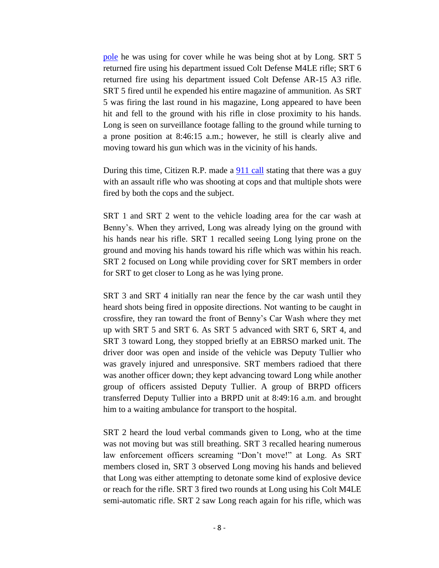[pole](http://www.ebrda.org/ois/Photographs/SP-9227-16%20MPB%20(198).JPG) he was using for cover while he was being shot at by Long. SRT 5 returned fire using his department issued Colt Defense M4LE rifle; SRT 6 returned fire using his department issued Colt Defense AR-15 A3 rifle. SRT 5 fired until he expended his entire magazine of ammunition. As SRT 5 was firing the last round in his magazine, Long appeared to have been hit and fell to the ground with his rifle in close proximity to his hands. Long is seen on surveillance footage falling to the ground while turning to a prone position at 8:46:15 a.m.; however, he still is clearly alive and moving toward his gun which was in the vicinity of his hands.

During this time, Citizen R.P. made a [911 call](http://www.ebrda.org/ois/Dispatch%20Calls%20and%20Screens/RP%20911%20Redacted.mp3) stating that there was a guy with an assault rifle who was shooting at cops and that multiple shots were fired by both the cops and the subject.

SRT 1 and SRT 2 went to the vehicle loading area for the car wash at Benny's. When they arrived, Long was already lying on the ground with his hands near his rifle. SRT 1 recalled seeing Long lying prone on the ground and moving his hands toward his rifle which was within his reach. SRT 2 focused on Long while providing cover for SRT members in order for SRT to get closer to Long as he was lying prone.

SRT 3 and SRT 4 initially ran near the fence by the car wash until they heard shots being fired in opposite directions. Not wanting to be caught in crossfire, they ran toward the front of Benny's Car Wash where they met up with SRT 5 and SRT 6. As SRT 5 advanced with SRT 6, SRT 4, and SRT 3 toward Long, they stopped briefly at an EBRSO marked unit. The driver door was open and inside of the vehicle was Deputy Tullier who was gravely injured and unresponsive. SRT members radioed that there was another officer down; they kept advancing toward Long while another group of officers assisted Deputy Tullier. A group of BRPD officers transferred Deputy Tullier into a BRPD unit at 8:49:16 a.m. and brought him to a waiting ambulance for transport to the hospital.

SRT 2 heard the loud verbal commands given to Long, who at the time was not moving but was still breathing. SRT 3 recalled hearing numerous law enforcement officers screaming "Don't move!" at Long. As SRT members closed in, SRT 3 observed Long moving his hands and believed that Long was either attempting to detonate some kind of explosive device or reach for the rifle. SRT 3 fired two rounds at Long using his Colt M4LE semi-automatic rifle. SRT 2 saw Long reach again for his rifle, which was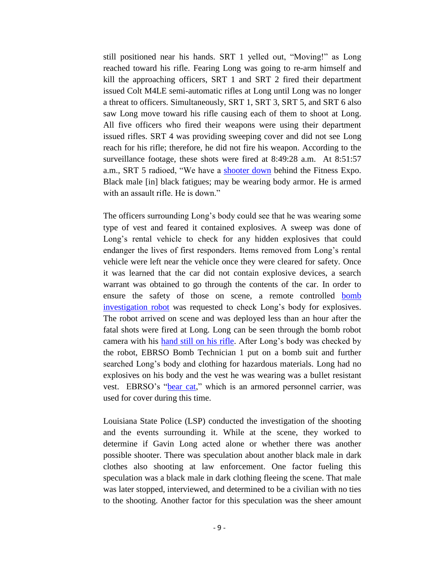still positioned near his hands. SRT 1 yelled out, "Moving!" as Long reached toward his rifle. Fearing Long was going to re-arm himself and kill the approaching officers, SRT 1 and SRT 2 fired their department issued Colt M4LE semi-automatic rifles at Long until Long was no longer a threat to officers. Simultaneously, SRT 1, SRT 3, SRT 5, and SRT 6 also saw Long move toward his rifle causing each of them to shoot at Long. All five officers who fired their weapons were using their department issued rifles. SRT 4 was providing sweeping cover and did not see Long reach for his rifle; therefore, he did not fire his weapon. According to the surveillance footage, these shots were fired at 8:49:28 a.m. At 8:51:57 a.m., SRT 5 radioed, "We have a [shooter down](http://www.ebrda.org/ois/Dispatch%20Calls%20and%20Screens/085157_Officer%207.mp3) behind the Fitness Expo. Black male [in] black fatigues; may be wearing body armor. He is armed with an assault rifle. He is down."

The officers surrounding Long's body could see that he was wearing some type of vest and feared it contained explosives. A sweep was done of Long's rental vehicle to check for any hidden explosives that could endanger the lives of first responders. Items removed from Long's rental vehicle were left near the vehicle once they were cleared for safety. Once it was learned that the car did not contain explosive devices, a search warrant was obtained to go through the contents of the car. In order to ensure the safety of those on scene, a remote controlled bomb [investigation robot](http://www.ebrda.org/ois/Photographs/bomb%20robot%20checking.jpg) was requested to check Long's body for explosives. The robot arrived on scene and was deployed less than an hour after the fatal shots were fired at Long. Long can be seen through the bomb robot camera with his [hand still on his rifle.](http://www.ebrda.org/ois/Photographs/72325KEA16%2017JULY16.jpg) After Long's body was checked by the robot, EBRSO Bomb Technician 1 put on a bomb suit and further searched Long's body and clothing for hazardous materials. Long had no explosives on his body and the vest he was wearing was a bullet resistant vest. EBRSO's ["bear cat,](http://www.ebrda.org/ois/Photographs/BearCat.jpg)" which is an armored personnel carrier, was used for cover during this time.

Louisiana State Police (LSP) conducted the investigation of the shooting and the events surrounding it. While at the scene, they worked to determine if Gavin Long acted alone or whether there was another possible shooter. There was speculation about another black male in dark clothes also shooting at law enforcement. One factor fueling this speculation was a black male in dark clothing fleeing the scene. That male was later stopped, interviewed, and determined to be a civilian with no ties to the shooting. Another factor for this speculation was the sheer amount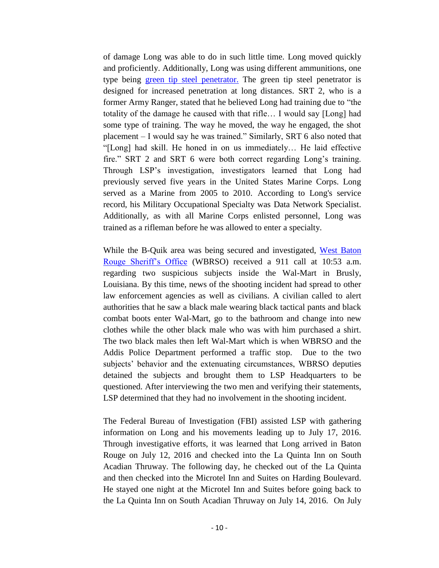of damage Long was able to do in such little time. Long moved quickly and proficiently. Additionally, Long was using different ammunitions, one type being [green tip steel penetrator.](http://www.ebrda.org/ois/Photographs/SP-9227-16%20EX%2015MG%20(11)%20AMMO.JPG) The green tip steel penetrator is designed for increased penetration at long distances. SRT 2, who is a former Army Ranger, stated that he believed Long had training due to "the totality of the damage he caused with that rifle… I would say [Long] had some type of training. The way he moved, the way he engaged, the shot placement – I would say he was trained." Similarly, SRT 6 also noted that "[Long] had skill. He honed in on us immediately… He laid effective fire." SRT 2 and SRT 6 were both correct regarding Long's training. Through LSP's investigation, investigators learned that Long had previously served five years in the United States Marine Corps. Long served as a Marine from 2005 to 2010. According to Long's service record, his Military Occupational Specialty was Data Network Specialist. Additionally, as with all Marine Corps enlisted personnel, Long was trained as a rifleman before he was allowed to enter a specialty.

While the B-Quik area was being secured and investigated, [West Baton](http://www.ebrda.org/ois/Police%20Reports/WBR%20Report_Redacted.pdf)  [Rouge Sheriff's Office](http://www.ebrda.org/ois/Police%20Reports/WBR%20Report_Redacted.pdf) (WBRSO) received a 911 call at 10:53 a.m. regarding two suspicious subjects inside the Wal-Mart in Brusly, Louisiana. By this time, news of the shooting incident had spread to other law enforcement agencies as well as civilians. A civilian called to alert authorities that he saw a black male wearing black tactical pants and black combat boots enter Wal-Mart, go to the bathroom and change into new clothes while the other black male who was with him purchased a shirt. The two black males then left Wal-Mart which is when WBRSO and the Addis Police Department performed a traffic stop. Due to the two subjects' behavior and the extenuating circumstances, WBRSO deputies detained the subjects and brought them to LSP Headquarters to be questioned. After interviewing the two men and verifying their statements, LSP determined that they had no involvement in the shooting incident.

The Federal Bureau of Investigation (FBI) assisted LSP with gathering information on Long and his movements leading up to July 17, 2016. Through investigative efforts, it was learned that Long arrived in Baton Rouge on July 12, 2016 and checked into the La Quinta Inn on South Acadian Thruway. The following day, he checked out of the La Quinta and then checked into the Microtel Inn and Suites on Harding Boulevard. He stayed one night at the Microtel Inn and Suites before going back to the La Quinta Inn on South Acadian Thruway on July 14, 2016. On July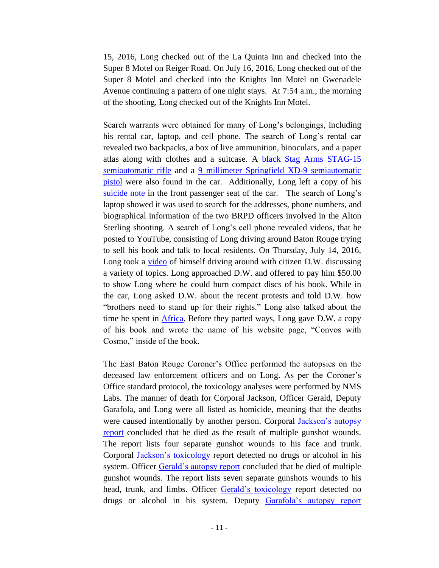15, 2016, Long checked out of the La Quinta Inn and checked into the Super 8 Motel on Reiger Road. On July 16, 2016, Long checked out of the Super 8 Motel and checked into the Knights Inn Motel on Gwenadele Avenue continuing a pattern of one night stays. At 7:54 a.m., the morning of the shooting, Long checked out of the Knights Inn Motel.

Search warrants were obtained for many of Long's belongings, including his rental car, laptop, and cell phone. The search of Long's rental car revealed two backpacks, a box of live ammunition, binoculars, and a paper atlas along with clothes and a suitcase. A **black Stag Arms STAG-15** [semiautomatic rifle](http://www.ebrda.org/ois/Photographs/Suspect%20Firearms%20-%20Media%20%20Ex%2015MG%20(1).JPG) and a [9 millimeter Springfield XD-9 semiautomatic](http://www.ebrda.org/ois/Photographs/Suspect%20Firearms%20-%20Media%20Ex%207MG%20(1).JPG)  [pistol](http://www.ebrda.org/ois/Photographs/Suspect%20Firearms%20-%20Media%20Ex%207MG%20(1).JPG) were also found in the car. Additionally, Long left a copy of his [suicide note](http://www.ebrda.org/ois/Photographs/Long%20Suicide%20Note_Redacted.pdf) in the front passenger seat of the car. The search of Long's laptop showed it was used to search for the addresses, phone numbers, and biographical information of the two BRPD officers involved in the Alton Sterling shooting. A search of Long's cell phone revealed videos, that he posted to YouTube, consisting of Long driving around Baton Rouge trying to sell his book and talk to local residents. On Thursday, July 14, 2016, Long took a [video](http://www.ebrda.org/ois/Photographs/Youtube%20Long%20in%20Baton%20Rouge.png) of himself driving around with citizen D.W. discussing a variety of topics. Long approached D.W. and offered to pay him \$50.00 to show Long where he could burn compact discs of his book. While in the car, Long asked D.W. about the recent protests and told D.W. how "brothers need to stand up for their rights." Long also talked about the time he spent in [Africa.](http://www.ebrda.org/ois/Photographs/SP-9227-16%20MG%20SCENE%20(288)%20redact.jpg) Before they parted ways, Long gave D.W. a copy of his book and wrote the name of his website page, "Convos with Cosmo," inside of the book.

The East Baton Rouge Coroner's Office performed the autopsies on the deceased law enforcement officers and on Long. As per the Coroner's Office standard protocol, the toxicology analyses were performed by NMS Labs. The manner of death for Corporal Jackson, Officer Gerald, Deputy Garafola, and Long were all listed as homicide, meaning that the deaths were caused intentionally by another person. Corporal Jackson's autopsy [report](http://www.ebrda.org/ois/Autopsy%20Reports/Montrell%20Jackson%20Final%20Report_Redacted.pdf) concluded that he died as the result of multiple gunshot wounds. The report lists four separate gunshot wounds to his face and trunk. Corporal Jackson's [toxicology](http://www.ebrda.org/ois/Autopsy%20Reports/Montrell%20Jackson%20Tox_Redacted.pdf) report detected no drugs or alcohol in his system. Officer [Gerald's autopsy report](http://www.ebrda.org/ois/Autopsy%20Reports/Matthew%20Gerald%20Final%20Report_Redacted.pdf) concluded that he died of multiple gunshot wounds. The report lists seven separate gunshots wounds to his head, trunk, and limbs. Officer [Gerald's toxicology](http://www.ebrda.org/ois/Autopsy%20Reports/Matthew%20Gerald%20Tox_Redacted.pdf) report detected no drugs or alcohol in his system. Deputy [Garafola's autopsy report](http://www.ebrda.org/ois/Autopsy%20Reports/Bradford%20Garafola%20Final%20Report_Redacted.pdf)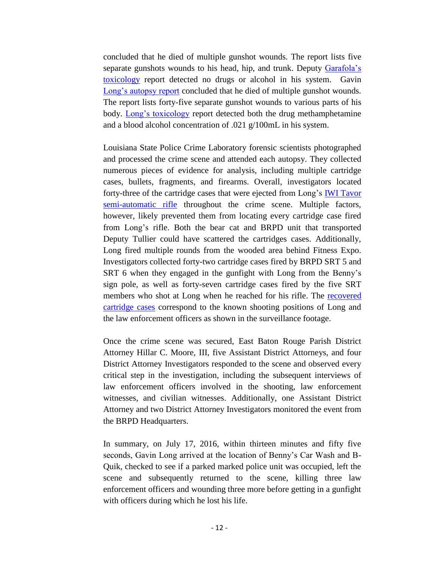concluded that he died of multiple gunshot wounds. The report lists five separate gunshots wounds to his head, hip, and trunk. Deputy [Garafola's](http://www.ebrda.org/ois/Autopsy%20Reports/Garafola%20Tox_Redacted.pdf)  [toxicology](http://www.ebrda.org/ois/Autopsy%20Reports/Garafola%20Tox_Redacted.pdf) report detected no drugs or alcohol in his system. Gavin [Long's autopsy report](http://www.ebrda.org/ois/Autopsy%20Reports/Gavin%20Long%20Final%20Report_Redacted.pdf) concluded that he died of multiple gunshot wounds. The report lists forty-five separate gunshot wounds to various parts of his body. [Long's toxicology](http://www.ebrda.org/ois/Autopsy%20Reports/Gavin%20Long%20Tox_Redacted.pdf) report detected both the drug methamphetamine and a blood alcohol concentration of .021 g/100mL in his system.

Louisiana State Police Crime Laboratory forensic scientists photographed and processed the crime scene and attended each autopsy. They collected numerous pieces of evidence for analysis, including multiple cartridge cases, bullets, fragments, and firearms. Overall, investigators located forty-three of the cartridge cases that were ejected from Long's [IWI Tavor](http://www.ebrda.org/ois/Photographs/SP-9227-16%20EX%203MG%20(2)%20RIFLE.JPG)  [semi-automatic rifle](http://www.ebrda.org/ois/Photographs/SP-9227-16%20EX%203MG%20(2)%20RIFLE.JPG) throughout the crime scene. Multiple factors, however, likely prevented them from locating every cartridge case fired from Long's rifle. Both the bear cat and BRPD unit that transported Deputy Tullier could have scattered the cartridges cases. Additionally, Long fired multiple rounds from the wooded area behind Fitness Expo. Investigators collected forty-two cartridge cases fired by BRPD SRT 5 and SRT 6 when they engaged in the gunfight with Long from the Benny's sign pole, as well as forty-seven cartridge cases fired by the five SRT members who shot at Long when he reached for his rifle. The **recovered** [cartridge cases](http://www.ebrda.org/ois/Photographs/Cartridge%20Case%20Overview.jpg) correspond to the known shooting positions of Long and the law enforcement officers as shown in the surveillance footage.

Once the crime scene was secured, East Baton Rouge Parish District Attorney Hillar C. Moore, III, five Assistant District Attorneys, and four District Attorney Investigators responded to the scene and observed every critical step in the investigation, including the subsequent interviews of law enforcement officers involved in the shooting, law enforcement witnesses, and civilian witnesses. Additionally, one Assistant District Attorney and two District Attorney Investigators monitored the event from the BRPD Headquarters.

In summary, on July 17, 2016, within thirteen minutes and fifty five seconds, Gavin Long arrived at the location of Benny's Car Wash and B-Quik, checked to see if a parked marked police unit was occupied, left the scene and subsequently returned to the scene, killing three law enforcement officers and wounding three more before getting in a gunfight with officers during which he lost his life.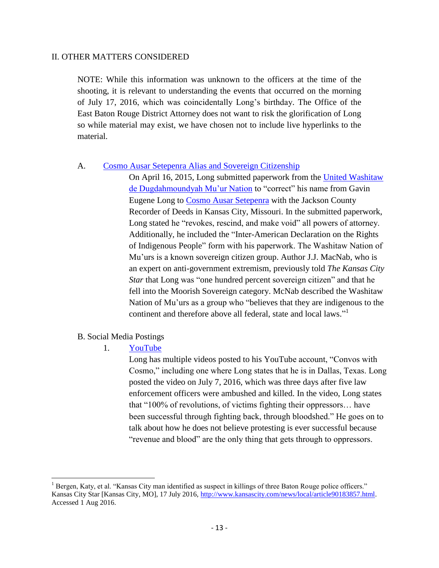#### II. OTHER MATTERS CONSIDERED

NOTE: While this information was unknown to the officers at the time of the shooting, it is relevant to understanding the events that occurred on the morning of July 17, 2016, which was coincidentally Long's birthday. The Office of the East Baton Rouge District Attorney does not want to risk the glorification of Long so while material may exist, we have chosen not to include live hyperlinks to the material.

#### A. [Cosmo Ausar Setepenra Alias and Sovereign Citizenship](http://www.ebrda.org/ois/Photographs/72325KEA16%2017JULY16%20(42)%20redact.jpg)

On April 16, 2015, Long submitted paperwork from the [United Washitaw](http://www.ebrda.org/ois/Photographs/MNation%20Card.jpg)  [de Dugdahmoundyah Mu'ur Nation](http://www.ebrda.org/ois/Photographs/MNation%20Card.jpg) to "correct" his name from Gavin Eugene Long to [Cosmo Ausar Setepenra](http://www.ebrda.org/ois/Police%20Reports/Gavin%20Long%20Sovereign%20Citizen_Redacted.pdf) with the Jackson County Recorder of Deeds in Kansas City, Missouri. In the submitted paperwork, Long stated he "revokes, rescind, and make void" all powers of attorney. Additionally, he included the "Inter-American Declaration on the Rights of Indigenous People" form with his paperwork. The Washitaw Nation of Mu'urs is a known sovereign citizen group. Author J.J. MacNab, who is an expert on anti-government extremism, previously told *The Kansas City Star* that Long was "one hundred percent sovereign citizen" and that he fell into the Moorish Sovereign category. McNab described the Washitaw Nation of Mu'urs as a group who "believes that they are indigenous to the continent and therefore above all federal, state and local laws."<sup>1</sup>

## B. Social Media Postings

 $\overline{\phantom{a}}$ 

## 1. [YouTube](http://www.ebrda.org/ois/Photographs/Long%20Youtube.png)

Long has multiple videos posted to his YouTube account, "Convos with Cosmo," including one where Long states that he is in Dallas, Texas. Long posted the video on July 7, 2016, which was three days after five law enforcement officers were ambushed and killed. In the video, Long states that "100% of revolutions, of victims fighting their oppressors… have been successful through fighting back, through bloodshed." He goes on to talk about how he does not believe protesting is ever successful because "revenue and blood" are the only thing that gets through to oppressors.

 $<sup>1</sup>$  Bergen, Katy, et al. "Kansas City man identified as suspect in killings of three Baton Rouge police officers."</sup> Kansas City Star [Kansas City, MO], 17 July 2016, [http://www.kansascity.com/news/local/article90183857.html.](http://www.kansascity.com/news/local/article90183857.html)  Accessed 1 Aug 2016.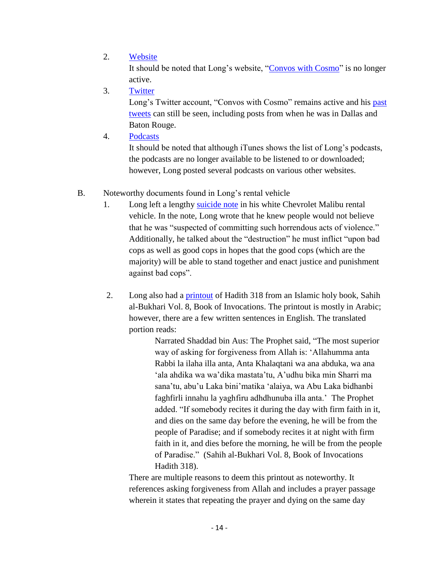# 2. [Website](http://www.ebrda.org/ois/Photographs/Long%20website%201.png)

It should be noted that Long's website, ["Convos with Cosmo"](http://www.ebrda.org/ois/Photographs/Long%20Website2.png) is no longer active.

3. [Twitter](http://www.ebrda.org/ois/Photographs/Long%20Twitter%20Sceenshot.png)

Long's Twitter account, "Convos with Cosmo" remains active and his past [tweets](http://www.ebrda.org/ois/Photographs/Long%20Twitter%20Posts.jpg) can still be seen, including posts from when he was in Dallas and Baton Rouge.

4. [Podcasts](http://www.ebrda.org/ois/Photographs/Long%20Podcast.jpg)

It should be noted that although iTunes shows the list of Long's podcasts, the podcasts are no longer available to be listened to or downloaded; however, Long posted several podcasts on various other websites.

- B. Noteworthy documents found in Long's rental vehicle
	- 1. Long left a lengthy [suicide note](http://www.ebrda.org/ois/Photographs/Long%20Suicide%20Note_Redacted.pdf) in his white Chevrolet Malibu rental vehicle. In the note, Long wrote that he knew people would not believe that he was "suspected of committing such horrendous acts of violence." Additionally, he talked about the "destruction" he must inflict "upon bad cops as well as good cops in hopes that the good cops (which are the majority) will be able to stand together and enact justice and punishment against bad cops".
	- 2. Long also had a [printout](http://www.ebrda.org/ois/Photographs/SP-9227-16%20MG%20SCENE%20(225).JPG) of Hadith 318 from an Islamic holy book, Sahih al-Bukhari Vol. 8, Book of Invocations. The printout is mostly in Arabic; however, there are a few written sentences in English. The translated portion reads:

Narrated Shaddad bin Aus: The Prophet said, "The most superior way of asking for forgiveness from Allah is: 'Allahumma anta Rabbi la ilaha illa anta, Anta Khalaqtani wa ana abduka, wa ana 'ala ahdika wa wa'dika mastata'tu, A'udhu bika min Sharri ma sana'tu, abu'u Laka bini'matika 'alaiya, wa Abu Laka bidhanbi faghfirli innahu la yaghfiru adhdhunuba illa anta.' The Prophet added. "If somebody recites it during the day with firm faith in it, and dies on the same day before the evening, he will be from the people of Paradise; and if somebody recites it at night with firm faith in it, and dies before the morning, he will be from the people of Paradise." (Sahih al-Bukhari Vol. 8, Book of Invocations Hadith 318).

There are multiple reasons to deem this printout as noteworthy. It references asking forgiveness from Allah and includes a prayer passage wherein it states that repeating the prayer and dying on the same day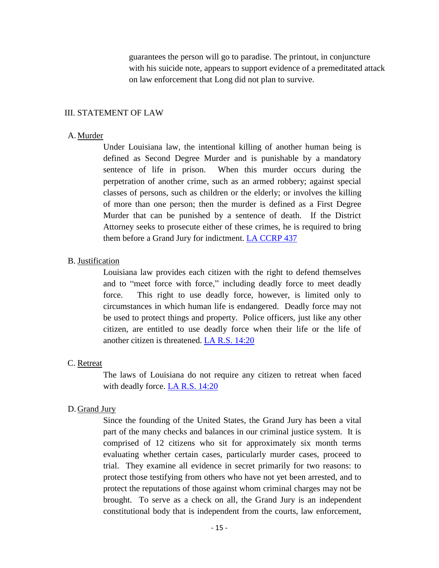guarantees the person will go to paradise. The printout, in conjuncture with his suicide note, appears to support evidence of a premeditated attack on law enforcement that Long did not plan to survive.

#### III. STATEMENT OF LAW

#### A. Murder

Under Louisiana law, the intentional killing of another human being is defined as Second Degree Murder and is punishable by a mandatory sentence of life in prison. When this murder occurs during the perpetration of another crime, such as an armed robbery; against special classes of persons, such as children or the elderly; or involves the killing of more than one person; then the murder is defined as a First Degree Murder that can be punished by a sentence of death. If the District Attorney seeks to prosecute either of these crimes, he is required to bring them before a Grand Jury for indictment. LA [CCRP 437](http://www.legis.la.gov/legis/law.aspx?d=112537)

#### B. Justification

Louisiana law provides each citizen with the right to defend themselves and to "meet force with force," including deadly force to meet deadly force. This right to use deadly force, however, is limited only to circumstances in which human life is endangered. Deadly force may not be used to protect things and property. Police officers, just like any other citizen, are entitled to use deadly force when their life or the life of another citizen is threatened. LA R.S. [14:20](http://www.legis.la.gov/legis/Law.aspx?d=78338)

#### C. Retreat

The laws of Louisiana do not require any citizen to retreat when faced with deadly force. LA [R.S. 14:20](http://www.legis.la.gov/Legis/Law.aspx?d=78338)

#### D. Grand Jury

Since the founding of the United States, the Grand Jury has been a vital part of the many checks and balances in our criminal justice system. It is comprised of 12 citizens who sit for approximately six month terms evaluating whether certain cases, particularly murder cases, proceed to trial. They examine all evidence in secret primarily for two reasons: to protect those testifying from others who have not yet been arrested, and to protect the reputations of those against whom criminal charges may not be brought. To serve as a check on all, the Grand Jury is an independent constitutional body that is independent from the courts, law enforcement,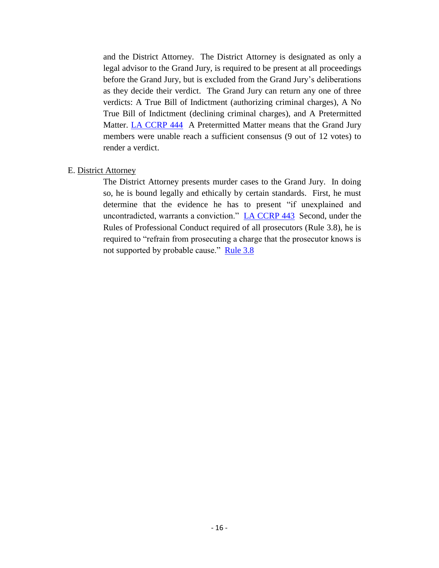and the District Attorney. The District Attorney is designated as only a legal advisor to the Grand Jury, is required to be present at all proceedings before the Grand Jury, but is excluded from the Grand Jury's deliberations as they decide their verdict. The Grand Jury can return any one of three verdicts: A True Bill of Indictment (authorizing criminal charges), A No True Bill of Indictment (declining criminal charges), and A Pretermitted Matter. LA [CCRP 444](http://www.legis.la.gov/legis/Law.aspx?d=112545) A Pretermitted Matter means that the Grand Jury members were unable reach a sufficient consensus (9 out of 12 votes) to render a verdict.

#### E. District Attorney

The District Attorney presents murder cases to the Grand Jury. In doing so, he is bound legally and ethically by certain standards. First, he must determine that the evidence he has to present "if unexplained and uncontradicted, warrants a conviction." LA [CCRP](http://www.legis.la.gov/legis/Law.aspx?p=y&d=112544) 443 Second, under the Rules of Professional Conduct required of all prosecutors (Rule 3.8), he is required to "refrain from prosecuting a charge that the prosecutor knows is not supported by probable cause." [Rule 3.8](https://www.ladb.org/Material/Publication/ROPC/ROPC.pdf)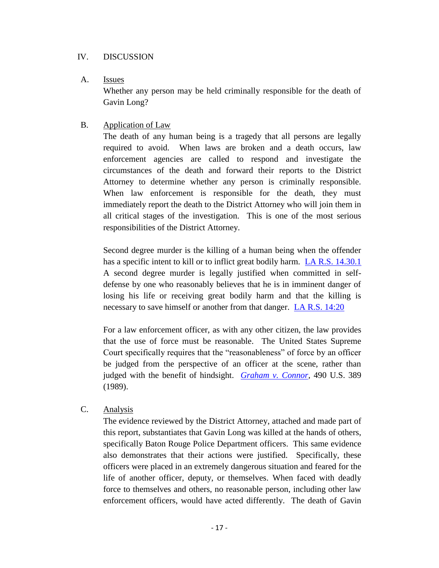#### IV. DISCUSSION

A. Issues

Whether any person may be held criminally responsible for the death of Gavin Long?

# B. Application of Law

The death of any human being is a tragedy that all persons are legally required to avoid. When laws are broken and a death occurs, law enforcement agencies are called to respond and investigate the circumstances of the death and forward their reports to the District Attorney to determine whether any person is criminally responsible. When law enforcement is responsible for the death, they must immediately report the death to the District Attorney who will join them in all critical stages of the investigation. This is one of the most serious responsibilities of the District Attorney.

Second degree murder is the killing of a human being when the offender has a specific intent to kill or to inflict great bodily harm. [LA R.S. 14.30.1](http://www.legis.la.gov/Legis/Law.aspx?d=78398)  A second degree murder is legally justified when committed in selfdefense by one who reasonably believes that he is in imminent danger of losing his life or receiving great bodily harm and that the killing is necessary to save himself or another from that danger. [LA R.S. 14:20](http://www.legis.la.gov/Legis/Law.aspx?p=y&d=78338) 

For a law enforcement officer, as with any other citizen, the law provides that the use of force must be reasonable. The United States Supreme Court specifically requires that the "reasonableness" of force by an officer be judged from the perspective of an officer at the scene, rather than judged with the benefit of hindsight. *[Graham v. Connor,](https://supreme.justia.com/cases/federal/us/490/386/)* 490 U.S. 389 (1989).

C. Analysis

The evidence reviewed by the District Attorney, attached and made part of this report, substantiates that Gavin Long was killed at the hands of others, specifically Baton Rouge Police Department officers. This same evidence also demonstrates that their actions were justified. Specifically, these officers were placed in an extremely dangerous situation and feared for the life of another officer, deputy, or themselves. When faced with deadly force to themselves and others, no reasonable person, including other law enforcement officers, would have acted differently. The death of Gavin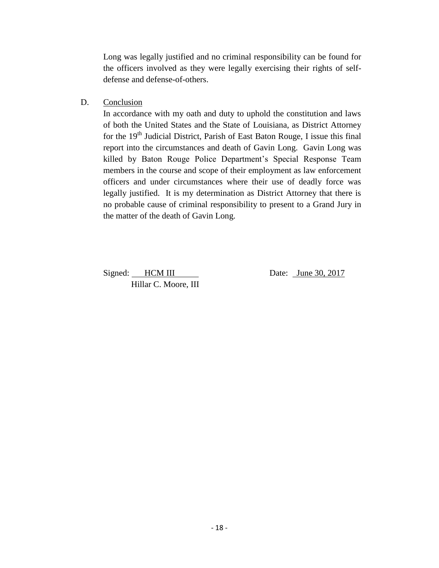Long was legally justified and no criminal responsibility can be found for the officers involved as they were legally exercising their rights of selfdefense and defense-of-others.

D. Conclusion

In accordance with my oath and duty to uphold the constitution and laws of both the United States and the State of Louisiana, as District Attorney for the 19<sup>th</sup> Judicial District, Parish of East Baton Rouge, I issue this final report into the circumstances and death of Gavin Long. Gavin Long was killed by Baton Rouge Police Department's Special Response Team members in the course and scope of their employment as law enforcement officers and under circumstances where their use of deadly force was legally justified. It is my determination as District Attorney that there is no probable cause of criminal responsibility to present to a Grand Jury in the matter of the death of Gavin Long.

Signed: HCM III Date: June 30, 2017 Hillar C. Moore, III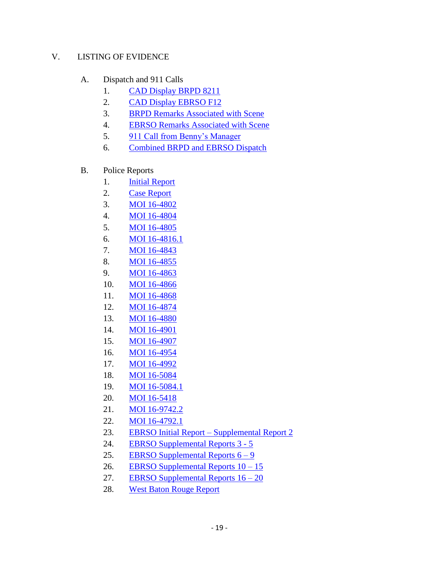## V. LISTING OF EVIDENCE

# A. Dispatch and 911 Calls

- 1. [CAD Display BRPD 8211](http://www.ebrda.org/ois/Dispatch%20Calls%20and%20Screens/9607%20Airline-Ofc.%20Shooting.png)
- 2. [CAD Display EBRSO F12](http://www.ebrda.org/ois/Dispatch%20Calls%20and%20Screens/Sheriff)
- 3. [BRPD Remarks Associated with Scene](http://www.ebrda.org/ois/Dispatch%20Calls%20and%20Screens/Remarks%20BRPD%20.jpg)
- 4. [EBRSO Remarks Associated with Scene](http://www.ebrda.org/ois/Dispatch%20Calls%20and%20Screens/Remarks%2C%20Sheriff)
- 5. [911 Call from Benny's Manager](http://www.ebrda.org/ois/Dispatch%20Calls%20and%20Screens/RP%20911%20Redacted.mp3)
- 6. [Combined BRPD and EBRSO Dispatch](http://www.ebrda.org/ois/Dispatch%20Calls%20and%20Screens/Dispatch%20Audio.mp3)

# B. Police Reports

- 1. [Initial Report](http://www.ebrda.org/ois/Police%20Reports/Initial%20Report_Redacted.pdf)
- 2. [Case Report](http://www.ebrda.org/ois/Police%20Reports/Case%20Report_Redacted.pdf)
- 3. [MOI 16-4802](http://www.ebrda.org/ois/Police%20Reports/MOI%2016-4802_Redacted.pdf)
- 4. [MOI 16-4804](http://www.ebrda.org/ois/Police%20Reports/MOI%2016-4804_Redacted.pdf)
- 5. [MOI 16-4805](http://www.ebrda.org/ois/Police%20Reports/MOI%2016-4805_Redacted.pdf)
- 6. [MOI 16-4816.1](http://www.ebrda.org/ois/Police%20Reports/MOI%2016-4816.1_Redacted.pdf)
- 7. [MOI 16-4843](http://www.ebrda.org/ois/Police%20Reports/MOI%2016-4843_Redacted.pdf)
- 8. [MOI 16-4855](http://www.ebrda.org/ois/Police%20Reports/MOI%2016-4855_Redacted.pdf)
- 9. [MOI 16-4863](http://www.ebrda.org/ois/Police%20Reports/MOI%2016-4863_Redacted.pdf)
- 10. [MOI 16-4866](http://www.ebrda.org/ois/Police%20Reports/MOI%2016-4866_Redacted.pdf)
- 11. [MOI 16-4868](http://www.ebrda.org/ois/Police%20Reports/MOI%2016-4868_Redacted.pdf)
- 12. [MOI 16-4874](http://www.ebrda.org/ois/Police%20Reports/MOI%2016-4874_Redacted.pdf)
- 13. [MOI 16-4880](http://www.ebrda.org/ois/Police%20Reports/MOI%2016-4880_Redacted.pdf)
- 14. [MOI 16-4901](http://www.ebrda.org/ois/Police%20Reports/MOI%2016-4901_Redacted.pdf)
- 15. [MOI 16-4907](http://www.ebrda.org/ois/Police%20Reports/MOI%2016-4907_Redacted.pdf)
- 16. [MOI 16-4954](http://www.ebrda.org/ois/Police%20Reports/MOI%2016-4954_Redacted.pdf)
- 17. [MOI 16-4992](http://www.ebrda.org/ois/Police%20Reports/MOI%2016-4992_Redacted.pdf)
- 18. [MOI 16-5084](http://www.ebrda.org/ois/Police%20Reports/MOI%2016-5084_Redacted.pdf)
- 19. [MOI 16-5084.1](http://www.ebrda.org/ois/Police%20Reports/MOI%2016-5084.1_Redacted.pdf)
- 20. [MOI 16-5418](http://www.ebrda.org/ois/Police%20Reports/MOI%2016-5418_Redacted.pdf)
- 21. [MOI 16-9742.2](http://www.ebrda.org/ois/Police%20Reports/MOI%2016-9742.2_Redacted.pdf)
- 22. [MOI 16-4792.1](http://www.ebrda.org/ois/Police%20Reports/MOI%2016-4792.1%20Cartridge%20Case%20Supplemental_Redacted.pdf)
- 23. [EBRSO Initial Report –](http://www.ebrda.org/ois/Police%20Reports/EBRSO%20Initial%20Report%20-%20Supplement%202_Redacted.pdf) Supplemental Report 2
- 24. [EBRSO Supplemental](http://www.ebrda.org/ois/Police%20Reports/EBRSO%20Supplement%20Reports%203-5_Redacted.pdf) Reports 3 5
- 25. EBRSO Supplemental Reports  $6 9$
- 26. [EBRSO Supplemental Reports 10 –](http://www.ebrda.org/ois/Police%20Reports/EBRSO%20Supplement%20Reports%2010-15_Redacted.pdf) 15
- 27. [EBRSO Supplemental Reports 16 –](http://www.ebrda.org/ois/Police%20Reports/EBRSO%20Supplement%20Reports%2016-20_Redacted.pdf) 20
- 28. [West Baton Rouge Report](http://www.ebrda.org/ois/Police%20Reports/WBR%20Report_Redacted.pdf)